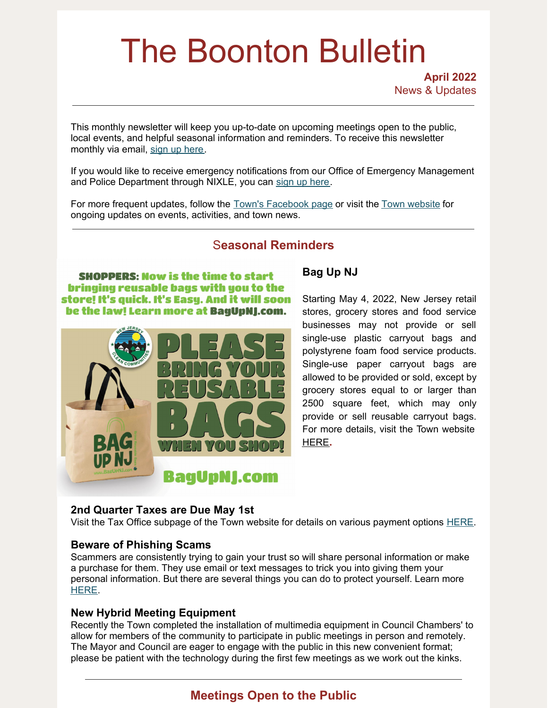# The Boonton Bulletin

This monthly newsletter will keep you up-to-date on upcoming meetings open to the public, local events, and helpful seasonal information and reminders. To receive this newsletter monthly via email, sign up [here](https://visitor.r20.constantcontact.com/manage/optin?v=001R7EztVuwXkBBcWw5z4rx7Y8pHezaxmabvd0VHnnNyXuOx-FRreROjfknpcDg1PuN9FMd8t37h3fvydqMBUcqgRjQOA-D5T3_mJQaSU63Gou4fTZoQ2qAjeQl0FAI6TpAyIsntzMunLGdLYSb5kiYp0xNe5ju7v1p).

If you would like to receive emergency notifications from our Office of Emergency Management and Police Department through NIXLE, you can sign up [here](https://www.boonton.org/347/Sign-up-for-Notifications).

For more frequent updates, follow the Town's [Facebook](https://www.facebook.com/BoontonNJ) page or visit the Town [website](https://www.boonton.org/) for ongoing updates on events, activities, and town news.

# S**easonal Reminders**

**SHOPPERS: Now is the time to start** bringing reusable bags with you to the store! It's quick. It's Easy. And it will soon be the law! Learn more at BagUpNJ.com.



## **Bag Up NJ**

Starting May 4, 2022, New Jersey retail stores, grocery stores and food service businesses may not provide or sell single-use plastic carryout bags and polystyrene foam food service products. Single-use paper carryout bags are allowed to be provided or sold, except by grocery stores equal to or larger than 2500 square feet, which may only provide or sell reusable carryout bags. For more details, visit the Town website [HERE](https://www.boonton.org/CivicAlerts.aspx?AID=141)**.**

#### **2nd Quarter Taxes are Due May 1st**

Visit the Tax Office subpage of the Town website for details on various payment options [HERE](https://www.boonton.org/220/Tax-Office).

#### **Beware of Phishing Scams**

Scammers are consistently trying to gain your trust so will share personal information or make a purchase for them. They use email or text messages to trick you into giving them your personal information. But there are several things you can do to protect yourself. Learn more [HERE](https://consumer.ftc.gov/articles/how-recognize-and-avoid-phishing-scams).

#### **New Hybrid Meeting Equipment**

Recently the Town completed the installation of multimedia equipment in Council Chambers' to allow for members of the community to participate in public meetings in person and remotely. The Mayor and Council are eager to engage with the public in this new convenient format; please be patient with the technology during the first few meetings as we work out the kinks.

# **Meetings Open to the Public**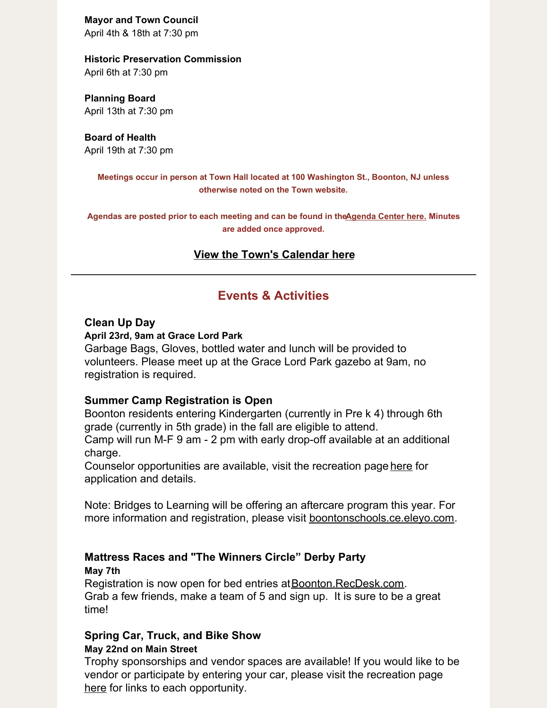**Mayor and Town Council**

April 4th & 18th at 7:30 pm

#### **Historic Preservation Commission**

April 6th at 7:30 pm

**Planning Board** April 13th at 7:30 pm

**Board of Health** April 19th at 7:30 pm

> **Meetings occur in person at Town Hall located at 100 Washington St., Boonton, NJ unless otherwise noted on the Town website.**

**Agendas are posted prior to each meeting and can be found in th[eAgenda](https://www.boonton.org/AgendaCenter) Center here. Minutes are added once approved.**

### **View the Town's [Calendar](https://www.boonton.org/calendar.aspx) here**

## **Events & Activities**

#### **Clean Up Day**

#### **April 23rd, 9am at Grace Lord Park**

Garbage Bags, Gloves, bottled water and lunch will be provided to volunteers. Please meet up at the Grace Lord Park gazebo at 9am, no registration is required.

#### **Summer Camp Registration is Open**

Boonton residents entering Kindergarten (currently in Pre k 4) through 6th grade (currently in 5th grade) in the fall are eligible to attend.

Camp will run M-F 9 am - 2 pm with early drop-off available at an additional charge.

Counselor opportunities are available, visit the recreation page [here](https://www.boonton.org/179/Recreation-Sports) for application and details.

Note: Bridges to Learning will be offering an aftercare program this year. For more information and registration, please visit [boontonschools.ce.eleyo.com](https://boontonschools.ce.eleyo.com/).

# **Mattress Races and "The Winners Circle" Derby Party**

**May 7th**

Registration is now open for bed entries at **[Boonton.RecDesk.com](http://boonton.recdesk.com).** Grab a few friends, make a team of 5 and sign up. It is sure to be a great time!

#### **Spring Car, Truck, and Bike Show May 22nd on Main Street**

Trophy sponsorships and vendor spaces are available! If you would like to be vendor or participate by entering your car, please visit the recreation page [here](https://www.boonton.org/179/Recreation-Sports) for links to each opportunity.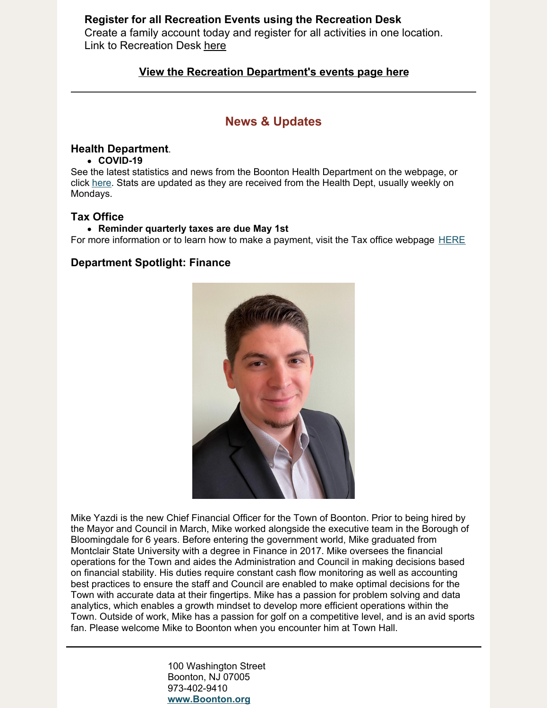#### **Register for all Recreation Events using the Recreation Desk**

Create a family account today and register for all activities in one location. Link to Recreation Desk [here](https://boonton.recdesk.com/Community/Home)

#### **View the Recreation [Department's](https://www.boonton.org/446/Special-Events) events page here**

## **News & Updates**

#### **Health Department**.

#### **COVID-19**

See the latest statistics and news from the Boonton Health Department on the webpage, or click [here](https://www.boonton.org/635/Coronavirus-COVID-19). Stats are updated as they are received from the Health Dept, usually weekly on Mondays.

#### **Tax Office**

#### **Reminder quarterly taxes are due May 1st**

For more information or to learn how to make a payment, visit the Tax office webpage [HERE](https://www.boonton.org/220/Tax-Office)

#### **Department Spotlight: Finance**



Mike Yazdi is the new Chief Financial Officer for the Town of Boonton. Prior to being hired by the Mayor and Council in March, Mike worked alongside the executive team in the Borough of Bloomingdale for 6 years. Before entering the government world, Mike graduated from Montclair State University with a degree in Finance in 2017. Mike oversees the financial operations for the Town and aides the Administration and Council in making decisions based on financial stability. His duties require constant cash flow monitoring as well as accounting best practices to ensure the staff and Council are enabled to make optimal decisions for the Town with accurate data at their fingertips. Mike has a passion for problem solving and data analytics, which enables a growth mindset to develop more efficient operations within the Town. Outside of work, Mike has a passion for golf on a competitive level, and is an avid sports fan. Please welcome Mike to Boonton when you encounter him at Town Hall.

> 100 Washington Street Boonton, NJ 07005 973-402-9410 **[www.Boonton.org](http://www.boonton.org)**